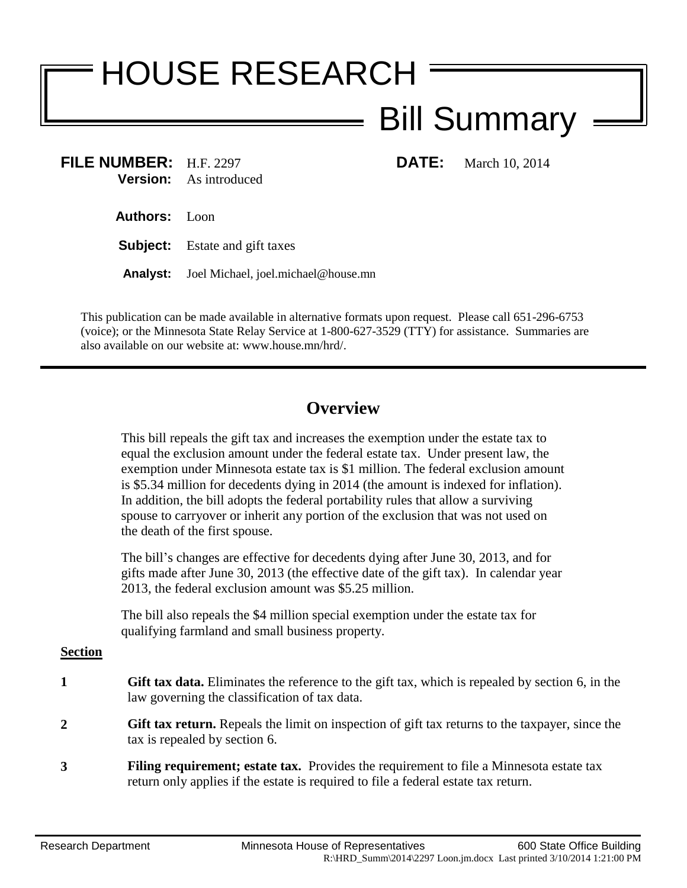# HOUSE RESEARCH Bill Summary

**FILE NUMBER:** H.F. 2297 **DATE:** March 10, 2014 **Version:** As introduced

**Authors:** Loon

**Subject:** Estate and gift taxes

**Analyst:** Joel Michael, joel.michael@house.mn

This publication can be made available in alternative formats upon request. Please call 651-296-6753 (voice); or the Minnesota State Relay Service at 1-800-627-3529 (TTY) for assistance. Summaries are also available on our website at: www.house.mn/hrd/.

## **Overview**

This bill repeals the gift tax and increases the exemption under the estate tax to equal the exclusion amount under the federal estate tax. Under present law, the exemption under Minnesota estate tax is \$1 million. The federal exclusion amount is \$5.34 million for decedents dying in 2014 (the amount is indexed for inflation). In addition, the bill adopts the federal portability rules that allow a surviving spouse to carryover or inherit any portion of the exclusion that was not used on the death of the first spouse.

The bill's changes are effective for decedents dying after June 30, 2013, and for gifts made after June 30, 2013 (the effective date of the gift tax). In calendar year 2013, the federal exclusion amount was \$5.25 million.

The bill also repeals the \$4 million special exemption under the estate tax for qualifying farmland and small business property.

#### **Section**

- **1 Gift tax data.** Eliminates the reference to the gift tax, which is repealed by section [6,](#page-1-0) in the law governing the classification of tax data.
- **2 Gift tax return.** Repeals the limit on inspection of gift tax returns to the taxpayer, since the tax is repealed by section [6.](#page-1-0)
- **3 Filing requirement; estate tax.** Provides the requirement to file a Minnesota estate tax return only applies if the estate is required to file a federal estate tax return.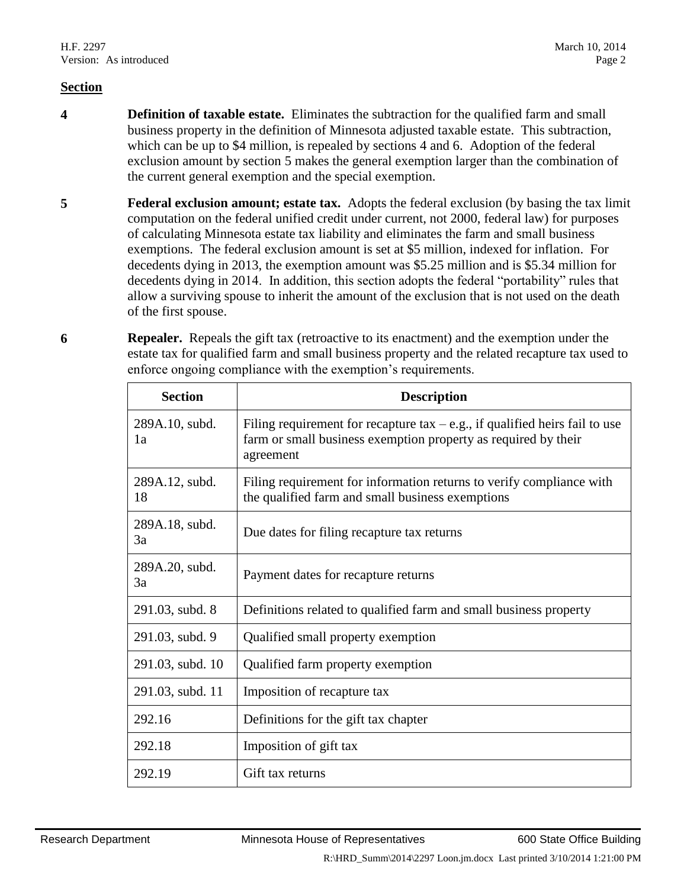#### **Section**

- <span id="page-1-1"></span>**4 Definition of taxable estate.** Eliminates the subtraction for the qualified farm and small business property in the definition of Minnesota adjusted taxable estate. This subtraction, which can be up to \$4 million, is repealed by sections [4](#page-1-1) and [6.](#page-1-0) Adoption of the federal exclusion amount by section [5](#page-1-2) makes the general exemption larger than the combination of the current general exemption and the special exemption.
- <span id="page-1-2"></span>**5 Federal exclusion amount; estate tax.** Adopts the federal exclusion (by basing the tax limit computation on the federal unified credit under current, not 2000, federal law) for purposes of calculating Minnesota estate tax liability and eliminates the farm and small business exemptions. The federal exclusion amount is set at \$5 million, indexed for inflation. For decedents dying in 2013, the exemption amount was \$5.25 million and is \$5.34 million for decedents dying in 2014. In addition, this section adopts the federal "portability" rules that allow a surviving spouse to inherit the amount of the exclusion that is not used on the death of the first spouse.
- <span id="page-1-0"></span>**6 Repealer.** Repeals the gift tax (retroactive to its enactment) and the exemption under the estate tax for qualified farm and small business property and the related recapture tax used to enforce ongoing compliance with the exemption's requirements.

| <b>Section</b>       | <b>Description</b>                                                                                                                                          |
|----------------------|-------------------------------------------------------------------------------------------------------------------------------------------------------------|
| 289A.10, subd.<br>1a | Filing requirement for recapture tax $-e.g.,$ if qualified heirs fail to use<br>farm or small business exemption property as required by their<br>agreement |
| 289A.12, subd.<br>18 | Filing requirement for information returns to verify compliance with<br>the qualified farm and small business exemptions                                    |
| 289A.18, subd.<br>3a | Due dates for filing recapture tax returns                                                                                                                  |
| 289A.20, subd.<br>3a | Payment dates for recapture returns                                                                                                                         |
| 291.03, subd. 8      | Definitions related to qualified farm and small business property                                                                                           |
| 291.03, subd. 9      | Qualified small property exemption                                                                                                                          |
| 291.03, subd. 10     | Qualified farm property exemption                                                                                                                           |
| 291.03, subd. 11     | Imposition of recapture tax                                                                                                                                 |
| 292.16               | Definitions for the gift tax chapter                                                                                                                        |
| 292.18               | Imposition of gift tax                                                                                                                                      |
| 292.19               | Gift tax returns                                                                                                                                            |